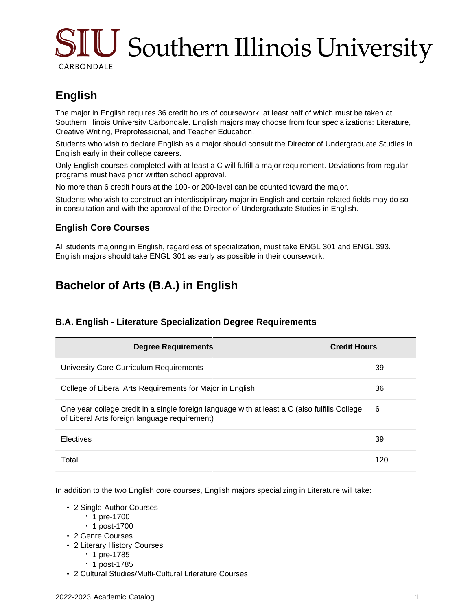# $\rm SIU$  Southern Illinois University CARBONDALE

# **English**

The major in English requires 36 credit hours of coursework, at least half of which must be taken at Southern Illinois University Carbondale. English majors may choose from four specializations: Literature, Creative Writing, Preprofessional, and Teacher Education.

Students who wish to declare English as a major should consult the Director of Undergraduate Studies in English early in their college careers.

Only English courses completed with at least a C will fulfill a major requirement. Deviations from regular programs must have prior written school approval.

No more than 6 credit hours at the 100- or 200-level can be counted toward the major.

Students who wish to construct an interdisciplinary major in English and certain related fields may do so in consultation and with the approval of the Director of Undergraduate Studies in English.

#### **English Core Courses**

All students majoring in English, regardless of specialization, must take ENGL 301 and ENGL 393. English majors should take ENGL 301 as early as possible in their coursework.

## **Bachelor of Arts (B.A.) in English**

#### **B.A. English - Literature Specialization Degree Requirements**

| <b>Degree Requirements</b>                                                                                                                     | <b>Credit Hours</b> |
|------------------------------------------------------------------------------------------------------------------------------------------------|---------------------|
| University Core Curriculum Requirements                                                                                                        | 39                  |
| College of Liberal Arts Requirements for Major in English                                                                                      | 36                  |
| One year college credit in a single foreign language with at least a C (also fulfills College<br>of Liberal Arts foreign language requirement) | 6                   |
| <b>Electives</b>                                                                                                                               | 39                  |
| Total                                                                                                                                          | 120                 |

In addition to the two English core courses, English majors specializing in Literature will take:

- 2 Single-Author Courses
	- 1 pre-1700
	- 1 post-1700
- 2 Genre Courses
- 2 Literary History Courses
	- 1 pre-1785
		- 1 post-1785
- 2 Cultural Studies/Multi-Cultural Literature Courses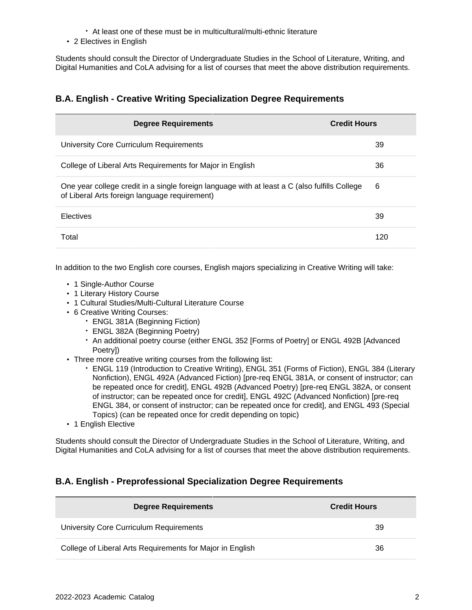- At least one of these must be in multicultural/multi-ethnic literature
- 2 Electives in English

Students should consult the Director of Undergraduate Studies in the School of Literature, Writing, and Digital Humanities and CoLA advising for a list of courses that meet the above distribution requirements.

### **B.A. English - Creative Writing Specialization Degree Requirements**

| <b>Degree Requirements</b>                                                                                                                     | <b>Credit Hours</b> |
|------------------------------------------------------------------------------------------------------------------------------------------------|---------------------|
| University Core Curriculum Requirements                                                                                                        | 39                  |
| College of Liberal Arts Requirements for Major in English                                                                                      | 36                  |
| One year college credit in a single foreign language with at least a C (also fulfills College<br>of Liberal Arts foreign language requirement) | 6                   |
| <b>Electives</b>                                                                                                                               | 39                  |
| Total                                                                                                                                          | 120                 |

In addition to the two English core courses, English majors specializing in Creative Writing will take:

- 1 Single-Author Course
- 1 Literary History Course
- 1 Cultural Studies/Multi-Cultural Literature Course
- 6 Creative Writing Courses:
	- ENGL 381A (Beginning Fiction)
	- ENGL 382A (Beginning Poetry)
	- An additional poetry course (either ENGL 352 [Forms of Poetry] or ENGL 492B [Advanced Poetry])
- Three more creative writing courses from the following list:
	- ENGL 119 (Introduction to Creative Writing), ENGL 351 (Forms of Fiction), ENGL 384 (Literary Nonfiction), ENGL 492A (Advanced Fiction) [pre-req ENGL 381A, or consent of instructor; can be repeated once for credit], ENGL 492B (Advanced Poetry) [pre-req ENGL 382A, or consent of instructor; can be repeated once for credit], ENGL 492C (Advanced Nonfiction) [pre-req ENGL 384, or consent of instructor; can be repeated once for credit], and ENGL 493 (Special Topics) (can be repeated once for credit depending on topic)
- 1 English Elective

Students should consult the Director of Undergraduate Studies in the School of Literature, Writing, and Digital Humanities and CoLA advising for a list of courses that meet the above distribution requirements.

#### **B.A. English - Preprofessional Specialization Degree Requirements**

| <b>Degree Requirements</b>                                | <b>Credit Hours</b> |
|-----------------------------------------------------------|---------------------|
| University Core Curriculum Requirements                   | 39                  |
| College of Liberal Arts Requirements for Major in English | 36                  |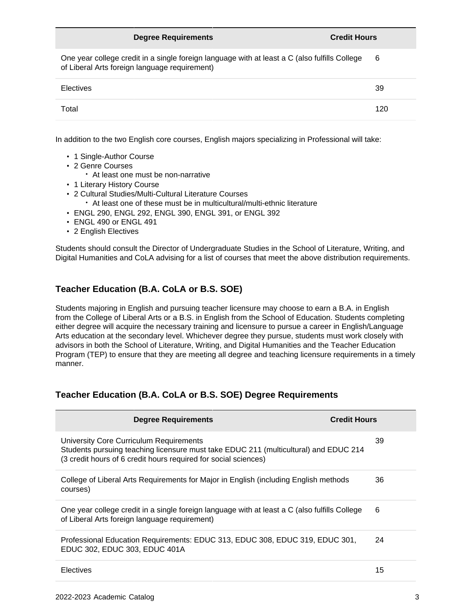| <b>Degree Requirements</b>                                                                                                                     | <b>Credit Hours</b> |
|------------------------------------------------------------------------------------------------------------------------------------------------|---------------------|
| One year college credit in a single foreign language with at least a C (also fulfills College<br>of Liberal Arts foreign language requirement) | 6                   |
| <b>Electives</b>                                                                                                                               | 39                  |
| Total                                                                                                                                          | 120                 |

In addition to the two English core courses, English majors specializing in Professional will take:

- 1 Single-Author Course
- 2 Genre Courses
	- At least one must be non-narrative
- 1 Literary History Course
- 2 Cultural Studies/Multi-Cultural Literature Courses
	- At least one of these must be in multicultural/multi-ethnic literature
- ENGL 290, ENGL 292, ENGL 390, ENGL 391, or ENGL 392
- ENGL 490 or ENGL 491
- 2 English Electives

Students should consult the Director of Undergraduate Studies in the School of Literature, Writing, and Digital Humanities and CoLA advising for a list of courses that meet the above distribution requirements.

### **Teacher Education (B.A. CoLA or B.S. SOE)**

Students majoring in English and pursuing teacher licensure may choose to earn a B.A. in English from the College of Liberal Arts or a B.S. in English from the School of Education. Students completing either degree will acquire the necessary training and licensure to pursue a career in English/Language Arts education at the secondary level. Whichever degree they pursue, students must work closely with advisors in both the School of Literature, Writing, and Digital Humanities and the Teacher Education Program (TEP) to ensure that they are meeting all degree and teaching licensure requirements in a timely manner.

#### **Teacher Education (B.A. CoLA or B.S. SOE) Degree Requirements**

| <b>Degree Requirements</b>                                                                                                                                                                         | <b>Credit Hours</b> |
|----------------------------------------------------------------------------------------------------------------------------------------------------------------------------------------------------|---------------------|
| University Core Curriculum Requirements<br>Students pursuing teaching licensure must take EDUC 211 (multicultural) and EDUC 214<br>(3 credit hours of 6 credit hours required for social sciences) | 39                  |
| College of Liberal Arts Requirements for Major in English (including English methods<br>courses)                                                                                                   | 36                  |
| One year college credit in a single foreign language with at least a C (also fulfills College<br>of Liberal Arts foreign language requirement)                                                     | 6                   |
| Professional Education Requirements: EDUC 313, EDUC 308, EDUC 319, EDUC 301,<br>EDUC 302, EDUC 303, EDUC 401A                                                                                      | 24                  |
| Electives                                                                                                                                                                                          | 15                  |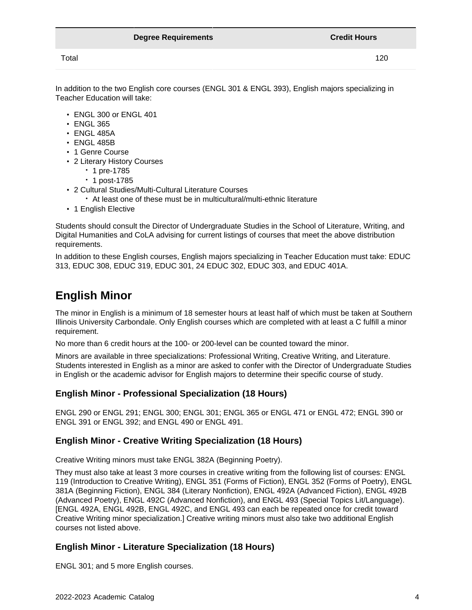Total 120

In addition to the two English core courses (ENGL 301 & ENGL 393), English majors specializing in Teacher Education will take:

- ENGL 300 or ENGL 401
- ENGL 365
- ENGL 485A
- ENGL 485B
- 1 Genre Course
- 2 Literary History Courses
	- 1 pre-1785
		- 1 post-1785
- 2 Cultural Studies/Multi-Cultural Literature Courses
	- At least one of these must be in multicultural/multi-ethnic literature
- 1 English Elective

Students should consult the Director of Undergraduate Studies in the School of Literature, Writing, and Digital Humanities and CoLA advising for current listings of courses that meet the above distribution requirements.

In addition to these English courses, English majors specializing in Teacher Education must take: EDUC 313, EDUC 308, EDUC 319, EDUC 301, 24 EDUC 302, EDUC 303, and EDUC 401A.

## **English Minor**

The minor in English is a minimum of 18 semester hours at least half of which must be taken at Southern Illinois University Carbondale. Only English courses which are completed with at least a C fulfill a minor requirement.

No more than 6 credit hours at the 100- or 200-level can be counted toward the minor.

Minors are available in three specializations: Professional Writing, Creative Writing, and Literature. Students interested in English as a minor are asked to confer with the Director of Undergraduate Studies in English or the academic advisor for English majors to determine their specific course of study.

#### **English Minor - Professional Specialization (18 Hours)**

ENGL 290 or ENGL 291; ENGL 300; ENGL 301; ENGL 365 or ENGL 471 or ENGL 472; ENGL 390 or ENGL 391 or ENGL 392; and ENGL 490 or ENGL 491.

#### **English Minor - Creative Writing Specialization (18 Hours)**

Creative Writing minors must take ENGL 382A (Beginning Poetry).

They must also take at least 3 more courses in creative writing from the following list of courses: ENGL 119 (Introduction to Creative Writing), ENGL 351 (Forms of Fiction), ENGL 352 (Forms of Poetry), ENGL 381A (Beginning Fiction), ENGL 384 (Literary Nonfiction), ENGL 492A (Advanced Fiction), ENGL 492B (Advanced Poetry), ENGL 492C (Advanced Nonfiction), and ENGL 493 (Special Topics Lit/Language). [ENGL 492A, ENGL 492B, ENGL 492C, and ENGL 493 can each be repeated once for credit toward Creative Writing minor specialization.] Creative writing minors must also take two additional English courses not listed above.

#### **English Minor - Literature Specialization (18 Hours)**

ENGL 301; and 5 more English courses.